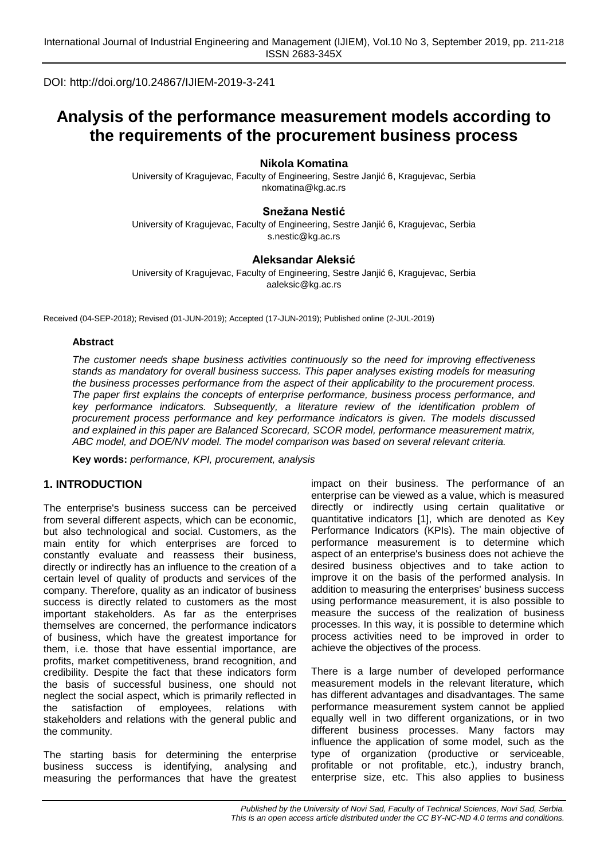DOI: http://doi.org/10.24867/IJIEM-2019-3-241

# **Analysis of the performance measurement models according to the requirements of the procurement business process**

**Nikola Komatina**

University of Kragujevac, Faculty of Engineering, Sestre Janjić 6, Kragujevac, Serbia nkomatina@kg.ac.rs

## **Snežana Nestić**

University of Kragujevac, Faculty of Engineering, Sestre Janjić 6, Kragujevac, Serbia [s.nestic@kg.ac.rs](mailto:s.nestic@kg.ac.rs)

## **Aleksandar Aleksić**

University of Kragujevac, Faculty of Engineering, Sestre Janjić 6, Kragujevac, Serbia aaleksic@kg.ac.rs

Received (04-SEP-2018); Revised (01-JUN-2019); Accepted (17-JUN-2019); Published online (2-JUL-2019)

#### **Abstract**

*The customer needs shape business activities continuously so the need for improving effectiveness stands as mandatory for overall business success. This paper analyses existing models for measuring the business processes performance from the aspect of their applicability to the procurement process. The paper first explains the concepts of enterprise performance, business process performance, and key performance indicators. Subsequently, a literature review of the identification problem of procurement process performance and key performance indicators is given. The models discussed and explained in this paper are Balanced Scorecard, SCOR model, performance measurement matrix, ABC model, and DOE/NV model. The model comparison was based on several relevant criteria.*

**Key words:** *performance, KPI, procurement, analysis*

## **1. INTRODUCTION**

The enterprise's business success can be perceived from several different aspects, which can be economic, but also technological and social. Customers, as the main entity for which enterprises are forced to constantly evaluate and reassess their business, directly or indirectly has an influence to the creation of a certain level of quality of products and services of the company. Therefore, quality as an indicator of business success is directly related to customers as the most important stakeholders. As far as the enterprises themselves are concerned, the performance indicators of business, which have the greatest importance for them, i.e. those that have essential importance, are profits, market competitiveness, brand recognition, and credibility. Despite the fact that these indicators form the basis of successful business, one should not neglect the social aspect, which is primarily reflected in the satisfaction of employees, relations with stakeholders and relations with the general public and the community.

The starting basis for determining the enterprise business success is identifying, analysing and measuring the performances that have the greatest impact on their business. The performance of an enterprise can be viewed as a value, which is measured directly or indirectly using certain qualitative or quantitative indicators [1], which are denoted as Key Performance Indicators (KPIs). The main objective of performance measurement is to determine which aspect of an enterprise's business does not achieve the desired business objectives and to take action to improve it on the basis of the performed analysis. In addition to measuring the enterprises' business success using performance measurement, it is also possible to measure the success of the realization of business processes. In this way, it is possible to determine which process activities need to be improved in order to achieve the objectives of the process.

There is a large number of developed performance measurement models in the relevant literature, which has different advantages and disadvantages. The same performance measurement system cannot be applied equally well in two different organizations, or in two different business processes. Many factors may influence the application of some model, such as the type of organization (productive or serviceable, profitable or not profitable, etc.), industry branch, enterprise size, etc. This also applies to business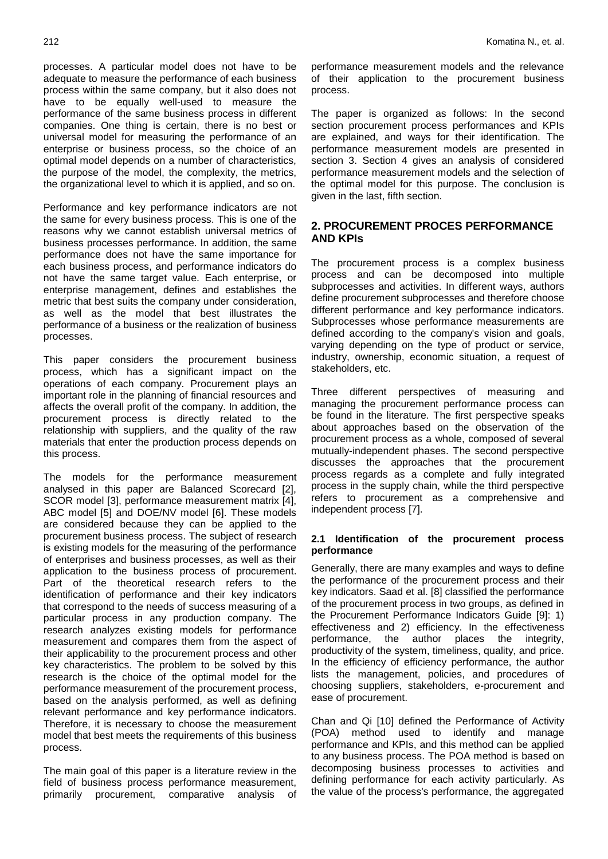processes. A particular model does not have to be adequate to measure the performance of each business process within the same company, but it also does not have to be equally well-used to measure the performance of the same business process in different companies. One thing is certain, there is no best or universal model for measuring the performance of an enterprise or business process, so the choice of an optimal model depends on a number of characteristics, the purpose of the model, the complexity, the metrics, the organizational level to which it is applied, and so on.

Performance and key performance indicators are not the same for every business process. This is one of the reasons why we cannot establish universal metrics of business processes performance. In addition, the same performance does not have the same importance for each business process, and performance indicators do not have the same target value. Each enterprise, or enterprise management, defines and establishes the metric that best suits the company under consideration, as well as the model that best illustrates the performance of a business or the realization of business processes.

This paper considers the procurement business process, which has a significant impact on the operations of each company. Procurement plays an important role in the planning of financial resources and affects the overall profit of the company. In addition, the procurement process is directly related to the relationship with suppliers, and the quality of the raw materials that enter the production process depends on this process.

The models for the performance measurement analysed in this paper are Balanced Scorecard [2], SCOR model [3], performance measurement matrix [4], ABC model [5] and DOE/NV model [6]. These models are considered because they can be applied to the procurement business process. The subject of research is existing models for the measuring of the performance of enterprises and business processes, as well as their application to the business process of procurement. Part of the theoretical research refers to the identification of performance and their key indicators that correspond to the needs of success measuring of a particular process in any production company. The research analyzes existing models for performance measurement and compares them from the aspect of their applicability to the procurement process and other key characteristics. The problem to be solved by this research is the choice of the optimal model for the performance measurement of the procurement process, based on the analysis performed, as well as defining relevant performance and key performance indicators. Therefore, it is necessary to choose the measurement model that best meets the requirements of this business process.

The main goal of this paper is a literature review in the field of business process performance measurement, primarily procurement, comparative analysis of performance measurement models and the relevance of their application to the procurement business process.

The paper is organized as follows: In the second section procurement process performances and KPIs are explained, and ways for their identification. The performance measurement models are presented in section 3. Section 4 gives an analysis of considered performance measurement models and the selection of the optimal model for this purpose. The conclusion is given in the last, fifth section.

# **2. PROCUREMENT PROCES PERFORMANCE AND KPIs**

The procurement process is a complex business process and can be decomposed into multiple subprocesses and activities. In different ways, authors define procurement subprocesses and therefore choose different performance and key performance indicators. Subprocesses whose performance measurements are defined according to the company's vision and goals, varying depending on the type of product or service, industry, ownership, economic situation, a request of stakeholders, etc.

Three different perspectives of measuring and managing the procurement performance process can be found in the literature. The first perspective speaks about approaches based on the observation of the procurement process as a whole, composed of several mutually-independent phases. The second perspective discusses the approaches that the procurement process regards as a complete and fully integrated process in the supply chain, while the third perspective refers to procurement as a comprehensive and independent process [7].

#### **2.1 Identification of the procurement process performance**

Generally, there are many examples and ways to define the performance of the procurement process and their key indicators. Saad et al. [8] classified the performance of the procurement process in two groups, as defined in the Procurement Performance Indicators Guide [9]: 1) effectiveness and 2) efficiency. In the effectiveness performance, the author places the integrity, productivity of the system, timeliness, quality, and price. In the efficiency of efficiency performance, the author lists the management, policies, and procedures of choosing suppliers, stakeholders, e-procurement and ease of procurement.

Chan and Qi [10] defined the Performance of Activity (POA) method used to identify and manage performance and KPIs, and this method can be applied to any business process. The POA method is based on decomposing business processes to activities and defining performance for each activity particularly. As the value of the process's performance, the aggregated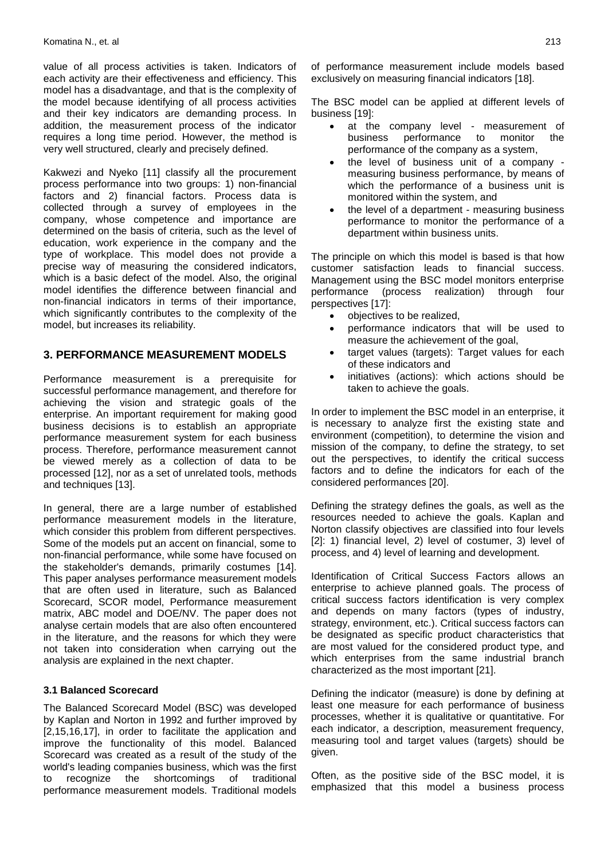value of all process activities is taken. Indicators of each activity are their effectiveness and efficiency. This model has a disadvantage, and that is the complexity of the model because identifying of all process activities and their key indicators are demanding process. In addition, the measurement process of the indicator requires a long time period. However, the method is very well structured, clearly and precisely defined.

Kakwezi and Nyeko [11] classify all the procurement process performance into two groups: 1) non-financial factors and 2) financial factors. Process data is collected through a survey of employees in the company, whose competence and importance are determined on the basis of criteria, such as the level of education, work experience in the company and the type of workplace. This model does not provide a precise way of measuring the considered indicators, which is a basic defect of the model. Also, the original model identifies the difference between financial and non-financial indicators in terms of their importance, which significantly contributes to the complexity of the model, but increases its reliability.

## **3. PERFORMANCE MEASUREMENT MODELS**

Performance measurement is a prerequisite for successful performance management, and therefore for achieving the vision and strategic goals of the enterprise. An important requirement for making good business decisions is to establish an appropriate performance measurement system for each business process. Therefore, performance measurement cannot be viewed merely as a collection of data to be processed [12], nor as a set of unrelated tools, methods and techniques [13].

In general, there are a large number of established performance measurement models in the literature, which consider this problem from different perspectives. Some of the models put an accent on financial, some to non-financial performance, while some have focused on the stakeholder's demands, primarily costumes [14]. This paper analyses performance measurement models that are often used in literature, such as Balanced Scorecard, SCOR model, Performance measurement matrix, ABC model and DOE/NV. The paper does not analyse certain models that are also often encountered in the literature, and the reasons for which they were not taken into consideration when carrying out the analysis are explained in the next chapter.

#### **3.1 Balanced Scorecard**

The Balanced Scorecard Model (BSC) was developed by Kaplan and Norton in 1992 and further improved by [2,15,16,17], in order to facilitate the application and improve the functionality of this model. Balanced Scorecard was created as a result of the study of the world's leading companies business, which was the first to recognize the shortcomings of traditional performance measurement models. Traditional models

of performance measurement include models based exclusively on measuring financial indicators [18].

The BSC model can be applied at different levels of business [19]:

- at the company level measurement of business performance to monitor the performance of the company as a system,
- the level of business unit of a company measuring business performance, by means of which the performance of a business unit is monitored within the system, and
- the level of a department measuring business performance to monitor the performance of a department within business units.

The principle on which this model is based is that how customer satisfaction leads to financial success. Management using the BSC model monitors enterprise performance (process realization) through four perspectives [17]:

- objectives to be realized,
- performance indicators that will be used to measure the achievement of the goal,
- target values (targets): Target values for each of these indicators and
- initiatives (actions): which actions should be taken to achieve the goals.

In order to implement the BSC model in an enterprise, it is necessary to analyze first the existing state and environment (competition), to determine the vision and mission of the company, to define the strategy, to set out the perspectives, to identify the critical success factors and to define the indicators for each of the considered performances [20].

Defining the strategy defines the goals, as well as the resources needed to achieve the goals. Kaplan and Norton classify objectives are classified into four levels [2]: 1) financial level, 2) level of costumer, 3) level of process, and 4) level of learning and development.

Identification of Critical Success Factors allows an enterprise to achieve planned goals. The process of critical success factors identification is very complex and depends on many factors (types of industry, strategy, environment, etc.). Critical success factors can be designated as specific product characteristics that are most valued for the considered product type, and which enterprises from the same industrial branch characterized as the most important [21].

Defining the indicator (measure) is done by defining at least one measure for each performance of business processes, whether it is qualitative or quantitative. For each indicator, a description, measurement frequency, measuring tool and target values (targets) should be given.

Often, as the positive side of the BSC model, it is emphasized that this model a business process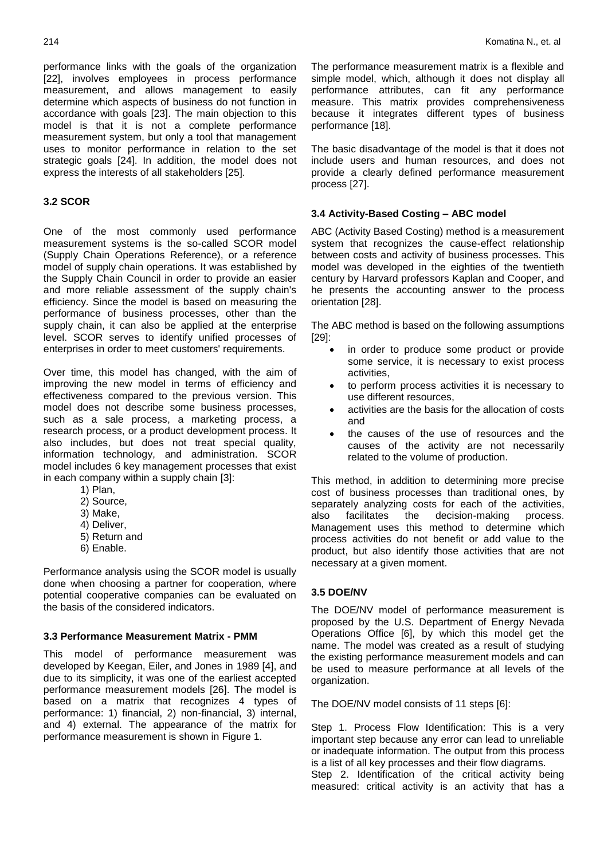performance links with the goals of the organization [22], involves employees in process performance measurement, and allows management to easily determine which aspects of business do not function in accordance with goals [23]. The main objection to this model is that it is not a complete performance measurement system, but only a tool that management uses to monitor performance in relation to the set strategic goals [24]. In addition, the model does not express the interests of all stakeholders [25].

#### **3.2 SCOR**

One of the most commonly used performance measurement systems is the so-called SCOR model (Supply Chain Operations Reference), or a reference model of supply chain operations. It was established by the Supply Chain Council in order to provide an easier and more reliable assessment of the supply chain's efficiency. Since the model is based on measuring the performance of business processes, other than the supply chain, it can also be applied at the enterprise level. SCOR serves to identify unified processes of enterprises in order to meet customers' requirements.

Over time, this model has changed, with the aim of improving the new model in terms of efficiency and effectiveness compared to the previous version. This model does not describe some business processes, such as a sale process, a marketing process, a research process, or a product development process. It also includes, but does not treat special quality, information technology, and administration. SCOR model includes 6 key management processes that exist in each company within a supply chain [3]:

- 1) Plan,
- 2) Source,
- 3) Make,
- 4) Deliver,
- 5) Return and
- 6) Enable.

Performance analysis using the SCOR model is usually done when choosing a partner for cooperation, where potential cooperative companies can be evaluated on the basis of the considered indicators.

#### **3.3 Performance Measurement Matrix - PMM**

This model of performance measurement was developed by Keegan, Eiler, and Jones in 1989 [4], and due to its simplicity, it was one of the earliest accepted performance measurement models [26]. The model is based on a matrix that recognizes 4 types of performance: 1) financial, 2) non-financial, 3) internal, and 4) external. The appearance of the matrix for performance measurement is shown in Figure 1.

The performance measurement matrix is a flexible and simple model, which, although it does not display all performance attributes, can fit any performance measure. This matrix provides comprehensiveness because it integrates different types of business performance [18].

The basic disadvantage of the model is that it does not include users and human resources, and does not provide a clearly defined performance measurement process [27].

### **3.4 Activity-Based Costing – ABC model**

ABC (Activity Based Costing) method is a measurement system that recognizes the cause-effect relationship between costs and activity of business processes. This model was developed in the eighties of the twentieth century by Harvard professors Kaplan and Cooper, and he presents the accounting answer to the process orientation [28].

The ABC method is based on the following assumptions [29]:

- in order to produce some product or provide some service, it is necessary to exist process activities,
- to perform process activities it is necessary to use different resources,
- activities are the basis for the allocation of costs and
- the causes of the use of resources and the causes of the activity are not necessarily related to the volume of production.

This method, in addition to determining more precise cost of business processes than traditional ones, by separately analyzing costs for each of the activities, also facilitates the decision-making process. Management uses this method to determine which process activities do not benefit or add value to the product, but also identify those activities that are not necessary at a given moment.

#### **3.5 DOE/NV**

The DOE/NV model of performance measurement is proposed by the U.S. Department of Energy Nevada Operations Office [6], by which this model get the name. The model was created as a result of studying the existing performance measurement models and can be used to measure performance at all levels of the organization.

The DOE/NV model consists of 11 steps [6]:

Step 1. Process Flow Identification: This is a very important step because any error can lead to unreliable or inadequate information. The output from this process is a list of all key processes and their flow diagrams. Step 2. Identification of the critical activity being measured: critical activity is an activity that has a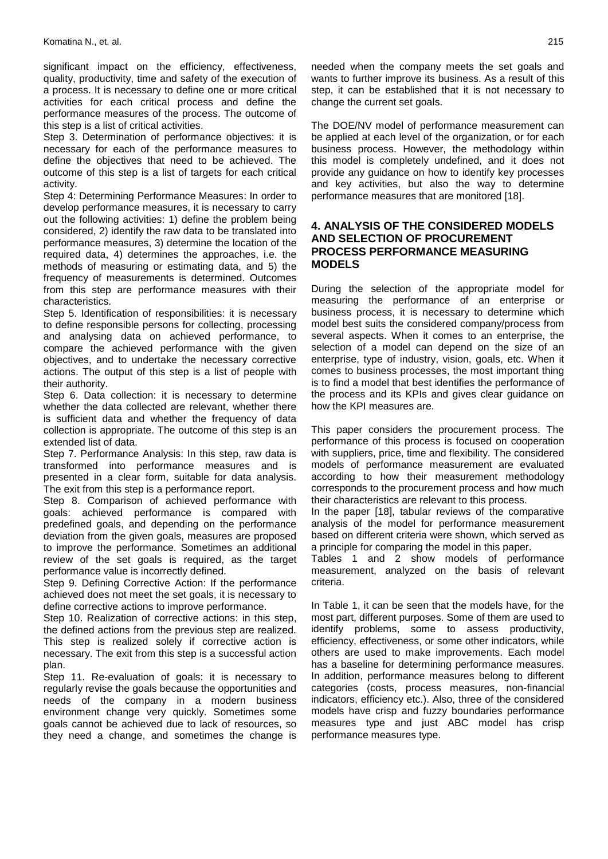significant impact on the efficiency, effectiveness, quality, productivity, time and safety of the execution of a process. It is necessary to define one or more critical activities for each critical process and define the performance measures of the process. The outcome of this step is a list of critical activities.

Step 3. Determination of performance objectives: it is necessary for each of the performance measures to define the objectives that need to be achieved. The outcome of this step is a list of targets for each critical activity.

Step 4: Determining Performance Measures: In order to develop performance measures, it is necessary to carry out the following activities: 1) define the problem being considered, 2) identify the raw data to be translated into performance measures, 3) determine the location of the required data, 4) determines the approaches, i.e. the methods of measuring or estimating data, and 5) the frequency of measurements is determined. Outcomes from this step are performance measures with their characteristics.

Step 5. Identification of responsibilities: it is necessary to define responsible persons for collecting, processing and analysing data on achieved performance, to compare the achieved performance with the given objectives, and to undertake the necessary corrective actions. The output of this step is a list of people with their authority.

Step 6. Data collection: it is necessary to determine whether the data collected are relevant, whether there is sufficient data and whether the frequency of data collection is appropriate. The outcome of this step is an extended list of data.

Step 7. Performance Analysis: In this step, raw data is transformed into performance measures and is presented in a clear form, suitable for data analysis. The exit from this step is a performance report.

Step 8. Comparison of achieved performance with goals: achieved performance is compared with predefined goals, and depending on the performance deviation from the given goals, measures are proposed to improve the performance. Sometimes an additional review of the set goals is required, as the target performance value is incorrectly defined.

Step 9. Defining Corrective Action: If the performance achieved does not meet the set goals, it is necessary to define corrective actions to improve performance.

Step 10. Realization of corrective actions: in this step, the defined actions from the previous step are realized. This step is realized solely if corrective action is necessary. The exit from this step is a successful action plan.

Step 11. Re-evaluation of goals: it is necessary to regularly revise the goals because the opportunities and needs of the company in a modern business environment change very quickly. Sometimes some goals cannot be achieved due to lack of resources, so they need a change, and sometimes the change is

needed when the company meets the set goals and wants to further improve its business. As a result of this step, it can be established that it is not necessary to change the current set goals.

The DOE/NV model of performance measurement can be applied at each level of the organization, or for each business process. However, the methodology within this model is completely undefined, and it does not provide any guidance on how to identify key processes and key activities, but also the way to determine performance measures that are monitored [18].

## **4. ANALYSIS OF THE CONSIDERED MODELS AND SELECTION OF PROCUREMENT PROCESS PERFORMANCE MEASURING MODELS**

During the selection of the appropriate model for measuring the performance of an enterprise or business process, it is necessary to determine which model best suits the considered company/process from several aspects. When it comes to an enterprise, the selection of a model can depend on the size of an enterprise, type of industry, vision, goals, etc. When it comes to business processes, the most important thing is to find a model that best identifies the performance of the process and its KPIs and gives clear guidance on how the KPI measures are.

This paper considers the procurement process. The performance of this process is focused on cooperation with suppliers, price, time and flexibility. The considered models of performance measurement are evaluated according to how their measurement methodology corresponds to the procurement process and how much their characteristics are relevant to this process.

In the paper [18], tabular reviews of the comparative analysis of the model for performance measurement based on different criteria were shown, which served as a principle for comparing the model in this paper.

Tables 1 and 2 show models of performance measurement, analyzed on the basis of relevant criteria.

In Table 1, it can be seen that the models have, for the most part, different purposes. Some of them are used to identify problems, some to assess productivity, efficiency, effectiveness, or some other indicators, while others are used to make improvements. Each model has a baseline for determining performance measures. In addition, performance measures belong to different categories (costs, process measures, non-financial indicators, efficiency etc.). Also, three of the considered models have crisp and fuzzy boundaries performance measures type and just ABC model has crisp performance measures type.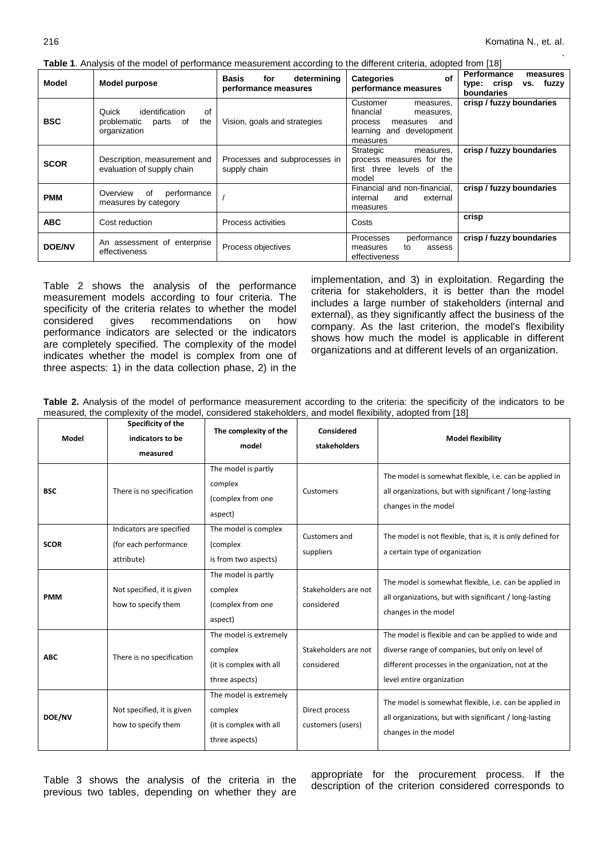.

**Table 1**. Analysis of the model of performance measurement according to the different criteria, adopted from [18]

| <b>Table 1.</b> Analysis of the model of performance measurement according to the unferent chienal adopted from Fro |                                                                                    |                                                            |                                                                                                                       |                                                                   |  |  |  |  |
|---------------------------------------------------------------------------------------------------------------------|------------------------------------------------------------------------------------|------------------------------------------------------------|-----------------------------------------------------------------------------------------------------------------------|-------------------------------------------------------------------|--|--|--|--|
| Model                                                                                                               | Model purpose                                                                      | determining<br><b>Basis</b><br>for<br>performance measures | of<br><b>Categories</b><br>performance measures                                                                       | Performance<br>measures<br>type: crisp<br>vs. fuzzy<br>boundaries |  |  |  |  |
| <b>BSC</b>                                                                                                          | identification<br>Quick<br>of<br>problematic<br>the<br>parts<br>of<br>organization | Vision, goals and strategies                               | Customer<br>measures,<br>financial<br>measures,<br>and<br>process<br>measures<br>learning and development<br>measures | crisp / fuzzy boundaries                                          |  |  |  |  |
| <b>SCOR</b>                                                                                                         | Description, measurement and<br>evaluation of supply chain                         | Processes and subprocesses in<br>supply chain              | Strategic<br>measures,<br>process measures for the<br>first three levels of the<br>model                              | crisp / fuzzy boundaries                                          |  |  |  |  |
| <b>PMM</b>                                                                                                          | Overview<br>of<br>performance<br>measures by category                              |                                                            | Financial and non-financial.<br>internal<br>external<br>and<br>measures                                               | crisp / fuzzy boundaries                                          |  |  |  |  |
| <b>ABC</b>                                                                                                          | Cost reduction                                                                     | Process activities                                         | Costs                                                                                                                 | crisp                                                             |  |  |  |  |
| <b>DOE/NV</b>                                                                                                       | An assessment of enterprise<br>effectiveness                                       | Process objectives                                         | <b>Processes</b><br>performance<br>assess<br>to<br>measures<br>effectiveness                                          | crisp / fuzzy boundaries                                          |  |  |  |  |

Table 2 shows the analysis of the performance measurement models according to four criteria. The specificity of the criteria relates to whether the model considered gives recommendations on how performance indicators are selected or the indicators are completely specified. The complexity of the model indicates whether the model is complex from one of three aspects: 1) in the data collection phase, 2) in the

implementation, and 3) in exploitation. Regarding the criteria for stakeholders, it is better than the model includes a large number of stakeholders (internal and external), as they significantly affect the business of the company. As the last criterion, the model's flexibility shows how much the model is applicable in different organizations and at different levels of an organization.

**Table 2.** Analysis of the model of performance measurement according to the criteria: the specificity of the indicators to be measured, the complexity of the model, considered stakeholders, and model flexibility, adopted from [18]

| Model       | Specificity of the<br>indicators to be<br>measured              | The complexity of the<br>model                                                 | Considered<br>stakeholders          | <b>Model flexibility</b>                                                                                                                                                                     |
|-------------|-----------------------------------------------------------------|--------------------------------------------------------------------------------|-------------------------------------|----------------------------------------------------------------------------------------------------------------------------------------------------------------------------------------------|
| <b>BSC</b>  | There is no specification                                       | The model is partly<br>complex<br>(complex from one<br>aspect)                 | Customers                           | The model is somewhat flexible, i.e. can be applied in<br>all organizations, but with significant / long-lasting<br>changes in the model                                                     |
| <b>SCOR</b> | Indicators are specified<br>(for each performance<br>attribute) | The model is complex<br>(complex<br>is from two aspects)                       | Customers and<br>suppliers          | The model is not flexible, that is, it is only defined for<br>a certain type of organization                                                                                                 |
| <b>PMM</b>  | Not specified, it is given<br>how to specify them               | The model is partly<br>complex<br>(complex from one<br>aspect)                 | Stakeholders are not<br>considered  | The model is somewhat flexible, i.e. can be applied in<br>all organizations, but with significant / long-lasting<br>changes in the model                                                     |
| <b>ABC</b>  | There is no specification                                       | The model is extremely<br>complex<br>(it is complex with all<br>three aspects) | Stakeholders are not<br>considered  | The model is flexible and can be applied to wide and<br>diverse range of companies, but only on level of<br>different processes in the organization, not at the<br>level entire organization |
| DOE/NV      | Not specified, it is given<br>how to specify them               | The model is extremely<br>complex<br>(it is complex with all<br>three aspects) | Direct process<br>customers (users) | The model is somewhat flexible, i.e. can be applied in<br>all organizations, but with significant / long-lasting<br>changes in the model                                                     |

Table 3 shows the analysis of the criteria in the previous two tables, depending on whether they are

appropriate for the procurement process. If the description of the criterion considered corresponds to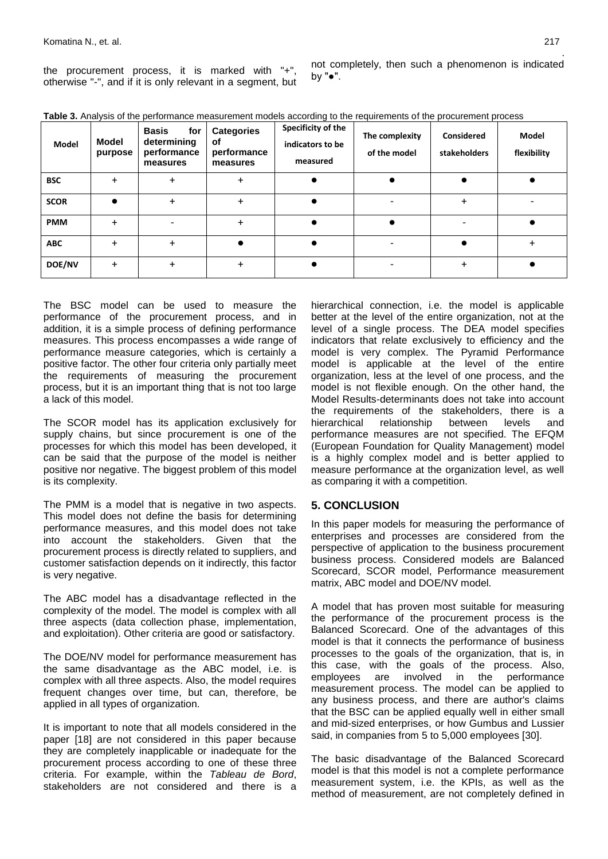the procurement process, it is marked with "+", otherwise "-", and if it is only relevant in a segment, but

. not completely, then such a phenomenon is indicated by "●".

| Model         | Model<br>purpose | <b>Basis</b><br>for<br>determining<br>performance<br>measures | <b>Categories</b><br>of<br>performance<br>measures | Specificity of the<br>indicators to be<br>measured | The complexity<br>of the model | <b>Considered</b><br>stakeholders | <b>Model</b><br>flexibility |
|---------------|------------------|---------------------------------------------------------------|----------------------------------------------------|----------------------------------------------------|--------------------------------|-----------------------------------|-----------------------------|
| <b>BSC</b>    | $\ddot{}$        | $\ddot{}$                                                     | $\ddot{}$                                          |                                                    |                                |                                   |                             |
| <b>SCOR</b>   |                  | $\ddot{}$                                                     | +                                                  |                                                    |                                |                                   |                             |
| <b>PMM</b>    | $\ddot{}$        |                                                               | +                                                  |                                                    |                                |                                   |                             |
| <b>ABC</b>    | $\ddot{}$        | $\ddot{}$                                                     |                                                    |                                                    |                                |                                   |                             |
| <b>DOE/NV</b> | $\ddot{}$        | $\ddot{}$                                                     | +                                                  |                                                    |                                |                                   |                             |

**Table 3.** Analysis of the performance measurement models according to the requirements of the procurement process

The BSC model can be used to measure the performance of the procurement process, and in addition, it is a simple process of defining performance measures. This process encompasses a wide range of performance measure categories, which is certainly a positive factor. The other four criteria only partially meet the requirements of measuring the procurement process, but it is an important thing that is not too large a lack of this model.

The SCOR model has its application exclusively for supply chains, but since procurement is one of the processes for which this model has been developed, it can be said that the purpose of the model is neither positive nor negative. The biggest problem of this model is its complexity.

The PMM is a model that is negative in two aspects. This model does not define the basis for determining performance measures, and this model does not take into account the stakeholders. Given that the procurement process is directly related to suppliers, and customer satisfaction depends on it indirectly, this factor is very negative.

The ABC model has a disadvantage reflected in the complexity of the model. The model is complex with all three aspects (data collection phase, implementation, and exploitation). Other criteria are good or satisfactory.

The DOE/NV model for performance measurement has the same disadvantage as the ABC model, i.e. is complex with all three aspects. Also, the model requires frequent changes over time, but can, therefore, be applied in all types of organization.

It is important to note that all models considered in the paper [18] are not considered in this paper because they are completely inapplicable or inadequate for the procurement process according to one of these three criteria. For example, within the *Tableau de Bord*, stakeholders are not considered and there is a

hierarchical connection, i.e. the model is applicable better at the level of the entire organization, not at the level of a single process. The DEA model specifies indicators that relate exclusively to efficiency and the model is very complex. The Pyramid Performance model is applicable at the level of the entire organization, less at the level of one process, and the model is not flexible enough. On the other hand, the Model Results-determinants does not take into account the requirements of the stakeholders, there is a hierarchical relationship between levels and performance measures are not specified. The EFQM (European Foundation for Quality Management) model is a highly complex model and is better applied to measure performance at the organization level, as well as comparing it with a competition.

## **5. CONCLUSION**

In this paper models for measuring the performance of enterprises and processes are considered from the perspective of application to the business procurement business process. Considered models are Balanced Scorecard, SCOR model, Performance measurement matrix, ABC model and DOE/NV model.

A model that has proven most suitable for measuring the performance of the procurement process is the Balanced Scorecard. One of the advantages of this model is that it connects the performance of business processes to the goals of the organization, that is, in this case, with the goals of the process. Also, employees are involved in the performance measurement process. The model can be applied to any business process, and there are author's claims that the BSC can be applied equally well in either small and mid-sized enterprises, or how Gumbus and Lussier said, in companies from 5 to 5,000 employees [30].

The basic disadvantage of the Balanced Scorecard model is that this model is not a complete performance measurement system, i.e. the KPIs, as well as the method of measurement, are not completely defined in